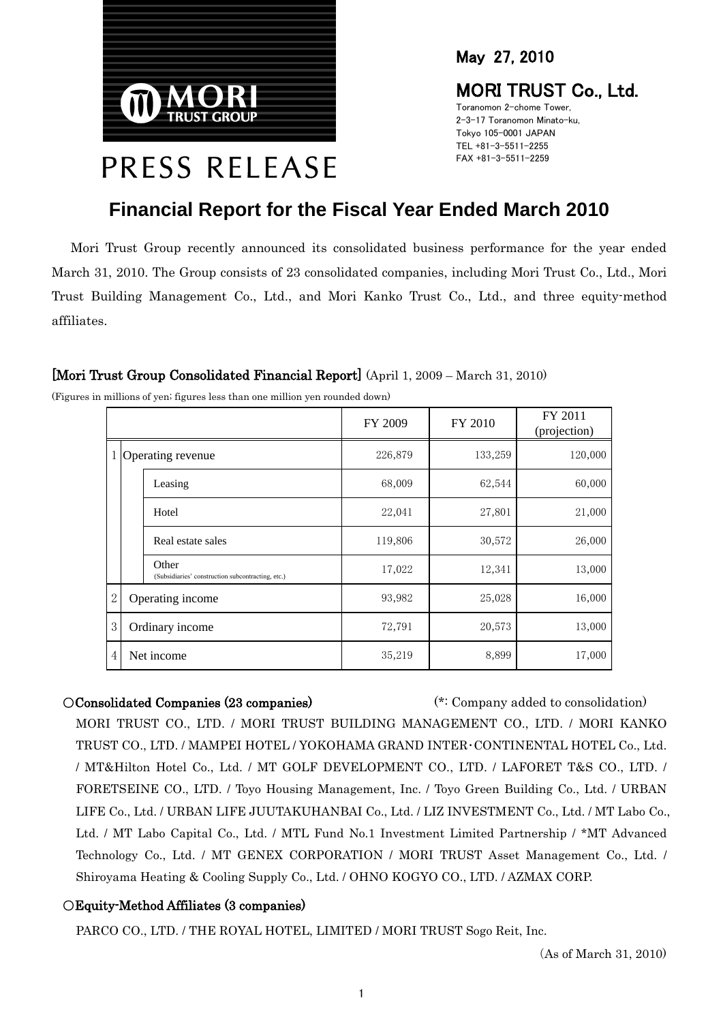

May 27, 2010

# MORI TRUST Co., Ltd.

Toranomon 2-chome Tower, 2-3-17 Toranomon Minato-ku, Tokyo 105-0001 JAPAN TEL +81-3-5511-2255 FAX +81-3-5511-2259

# PRESS RELEASE

# **Financial Report for the Fiscal Year Ended March 2010**

Mori Trust Group recently announced its consolidated business performance for the year ended March 31, 2010. The Group consists of 23 consolidated companies, including Mori Trust Co., Ltd., Mori Trust Building Management Co., Ltd., and Mori Kanko Trust Co., Ltd., and three equity-method affiliates.

### [Mori Trust Group Consolidated Financial Report] (April 1, 2009 – March 31, 2010)

(Figures in millions of yen; figures less than one million yen rounded down)

|                     |                 |                                                            | FY 2009 | FY 2010 | FY 2011<br>(projection) |
|---------------------|-----------------|------------------------------------------------------------|---------|---------|-------------------------|
| 1 Operating revenue |                 |                                                            | 226,879 | 133,259 | 120,000                 |
|                     |                 | Leasing                                                    | 68,009  | 62,544  | 60,000                  |
|                     |                 | Hotel                                                      | 22,041  | 27,801  | 21,000                  |
|                     |                 | Real estate sales                                          | 119,806 | 30,572  | 26,000                  |
|                     |                 | Other<br>(Subsidiaries' construction subcontracting, etc.) | 17,022  | 12,341  | 13,000                  |
| $\mathbf{2}$        |                 | Operating income                                           | 93,982  | 25,028  | 16,000                  |
| 3                   | Ordinary income |                                                            | 72,791  | 20,573  | 13,000                  |
| $\overline{4}$      |                 | Net income                                                 | 35,219  | 8,899   | 17,000                  |

#### ○Consolidated Companies (23 companies) (\*: Company added to consolidation)

MORI TRUST CO., LTD. / MORI TRUST BUILDING MANAGEMENT CO., LTD. / MORI KANKO TRUST CO., LTD. / MAMPEI HOTEL / YOKOHAMA GRAND INTER・CONTINENTAL HOTEL Co., Ltd. / MT&Hilton Hotel Co., Ltd. / MT GOLF DEVELOPMENT CO., LTD. / LAFORET T&S CO., LTD. / FORETSEINE CO., LTD. / Toyo Housing Management, Inc. / Toyo Green Building Co., Ltd. / URBAN LIFE Co., Ltd. / URBAN LIFE JUUTAKUHANBAI Co., Ltd. / LIZ INVESTMENT Co., Ltd. / MT Labo Co., Ltd. / MT Labo Capital Co., Ltd. / MTL Fund No.1 Investment Limited Partnership / \*MT Advanced Technology Co., Ltd. / MT GENEX CORPORATION / MORI TRUST Asset Management Co., Ltd. / Shiroyama Heating & Cooling Supply Co., Ltd. / OHNO KOGYO CO., LTD. / AZMAX CORP.

#### ○Equity-Method Affiliates (3 companies)

PARCO CO., LTD. / THE ROYAL HOTEL, LIMITED / MORI TRUST Sogo Reit, Inc.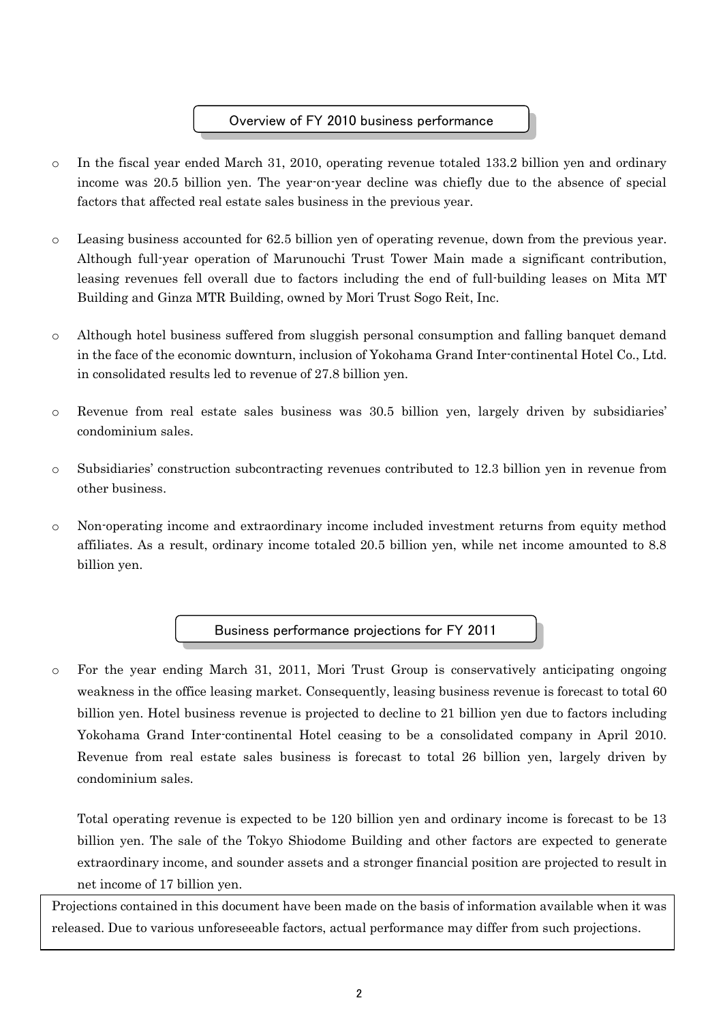#### Overview of FY 2010 business performance

- o In the fiscal year ended March 31, 2010, operating revenue totaled 133.2 billion yen and ordinary income was 20.5 billion yen. The year-on-year decline was chiefly due to the absence of special factors that affected real estate sales business in the previous year.
- o Leasing business accounted for 62.5 billion yen of operating revenue, down from the previous year. Although full-year operation of Marunouchi Trust Tower Main made a significant contribution, leasing revenues fell overall due to factors including the end of full-building leases on Mita MT Building and Ginza MTR Building, owned by Mori Trust Sogo Reit, Inc.
- o Although hotel business suffered from sluggish personal consumption and falling banquet demand in the face of the economic downturn, inclusion of Yokohama Grand Inter-continental Hotel Co., Ltd. in consolidated results led to revenue of 27.8 billion yen.
- $\circ$  Revenue from real estate sales business was 30.5 billion yen, largely driven by subsidiaries' condominium sales.
- o Subsidiaries' construction subcontracting revenues contributed to 12.3 billion yen in revenue from other business.
- o Non-operating income and extraordinary income included investment returns from equity method affiliates. As a result, ordinary income totaled 20.5 billion yen, while net income amounted to 8.8 billion yen.

Business performance projections for FY 2011

o For the year ending March 31, 2011, Mori Trust Group is conservatively anticipating ongoing weakness in the office leasing market. Consequently, leasing business revenue is forecast to total 60 billion yen. Hotel business revenue is projected to decline to 21 billion yen due to factors including Yokohama Grand Inter-continental Hotel ceasing to be a consolidated company in April 2010. Revenue from real estate sales business is forecast to total 26 billion yen, largely driven by condominium sales.

Total operating revenue is expected to be 120 billion yen and ordinary income is forecast to be 13 billion yen. The sale of the Tokyo Shiodome Building and other factors are expected to generate extraordinary income, and sounder assets and a stronger financial position are projected to result in net income of 17 billion yen.

Projections contained in this document have been made on the basis of information available when it was released. Due to various unforeseeable factors, actual performance may differ from such projections.

 $\overline{a}$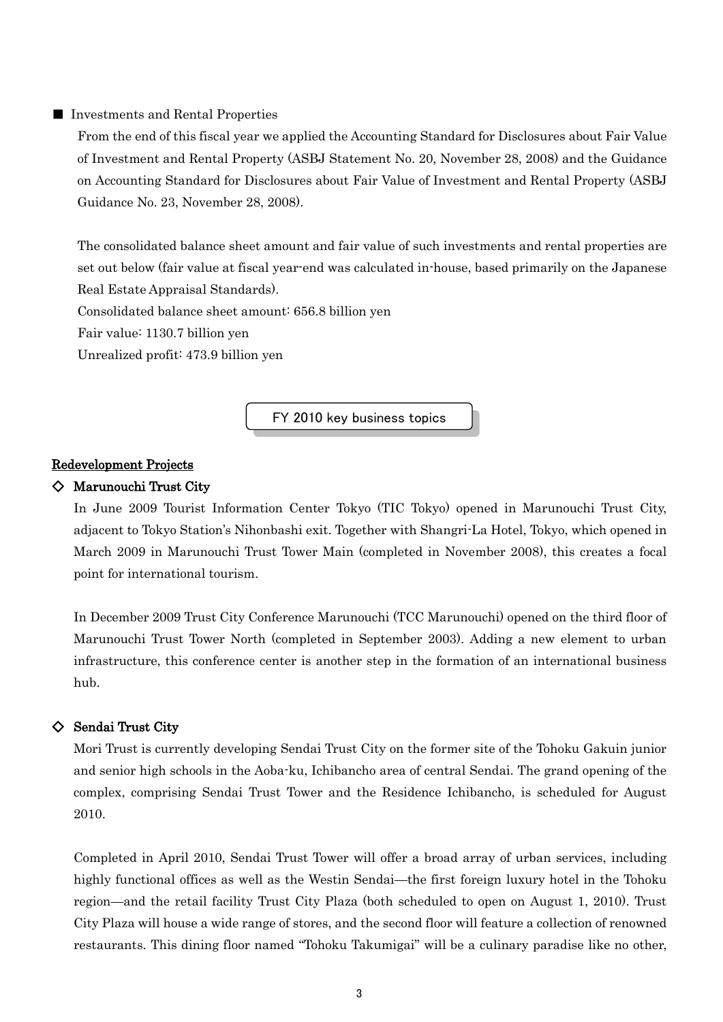#### ■ Investments and Rental Properties

From the end of this fiscal year we applied the Accounting Standard for Disclosures about Fair Value of Investment and Rental Property (ASBJ Statement No. 20, November 28, 2008) and the Guidance on Accounting Standard for Disclosures about Fair Value of Investment and Rental Property (ASBJ Guidance No. 23, November 28, 2008).

The consolidated balance sheet amount and fair value of such investments and rental properties are set out below (fair value at fiscal year-end was calculated in-house, based primarily on the Japanese Real Estate Appraisal Standards).

Consolidated balance sheet amount: 656.8 billion yen

Fair value: 1130.7 billion yen

Unrealized profit: 473.9 billion yen

FY 2010 key business topics

#### Redevelopment Projects

#### ◇ Marunouchi Trust City

In June 2009 Tourist Information Center Tokyo (TIC Tokyo) opened in Marunouchi Trust City, adjacent to Tokyo Station's Nihonbashi exit. Together with Shangri-La Hotel, Tokyo, which opened in March 2009 in Marunouchi Trust Tower Main (completed in November 2008), this creates a focal point for international tourism.

In December 2009 Trust City Conference Marunouchi (TCC Marunouchi) opened on the third floor of Marunouchi Trust Tower North (completed in September 2003). Adding a new element to urban infrastructure, this conference center is another step in the formation of an international business hub.

#### ◇ Sendai Trust City

Mori Trust is currently developing Sendai Trust City on the former site of the Tohoku Gakuin junior and senior high schools in the Aoba-ku, Ichibancho area of central Sendai. The grand opening of the complex, comprising Sendai Trust Tower and the Residence Ichibancho, is scheduled for August 2010.

Completed in April 2010, Sendai Trust Tower will offer a broad array of urban services, including highly functional offices as well as the Westin Sendai—the first foreign luxury hotel in the Tohoku region—and the retail facility Trust City Plaza (both scheduled to open on August 1, 2010). Trust City Plaza will house a wide range of stores, and the second floor will feature a collection of renowned restaurants. This dining floor named "Tohoku Takumigai" will be a culinary paradise like no other,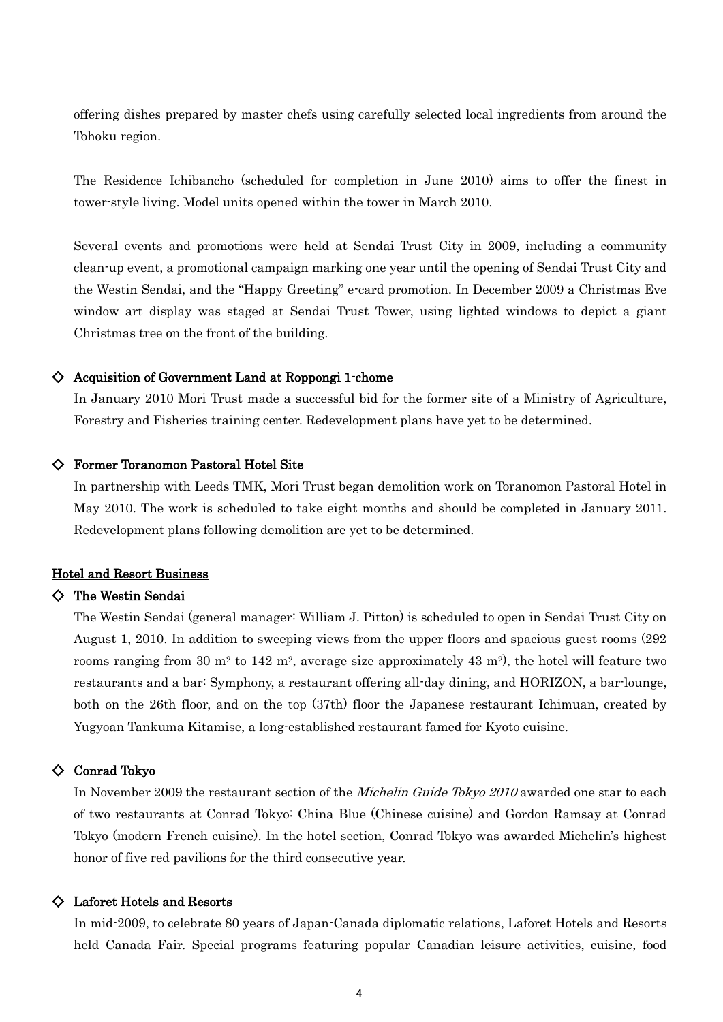offering dishes prepared by master chefs using carefully selected local ingredients from around the Tohoku region.

The Residence Ichibancho (scheduled for completion in June 2010) aims to offer the finest in tower-style living. Model units opened within the tower in March 2010.

Several events and promotions were held at Sendai Trust City in 2009, including a community clean-up event, a promotional campaign marking one year until the opening of Sendai Trust City and the Westin Sendai, and the "Happy Greeting" e-card promotion. In December 2009 a Christmas Eve window art display was staged at Sendai Trust Tower, using lighted windows to depict a giant Christmas tree on the front of the building.

#### ◇ Acquisition of Government Land at Roppongi 1-chome

In January 2010 Mori Trust made a successful bid for the former site of a Ministry of Agriculture, Forestry and Fisheries training center. Redevelopment plans have yet to be determined.

#### ◇ Former Toranomon Pastoral Hotel Site

In partnership with Leeds TMK, Mori Trust began demolition work on Toranomon Pastoral Hotel in May 2010. The work is scheduled to take eight months and should be completed in January 2011. Redevelopment plans following demolition are yet to be determined.

#### Hotel and Resort Business

#### ◇ The Westin Sendai

The Westin Sendai (general manager: William J. Pitton) is scheduled to open in Sendai Trust City on August 1, 2010. In addition to sweeping views from the upper floors and spacious guest rooms (292 rooms ranging from 30 m<sup>2</sup> to 142 m<sup>2</sup>, average size approximately 43 m<sup>2</sup>), the hotel will feature two restaurants and a bar: Symphony, a restaurant offering all-day dining, and HORIZON, a bar-lounge, both on the 26th floor, and on the top (37th) floor the Japanese restaurant Ichimuan, created by Yugyoan Tankuma Kitamise, a long-established restaurant famed for Kyoto cuisine.

#### ◇ Conrad Tokyo

In November 2009 the restaurant section of the *Michelin Guide Tokyo 2010* awarded one star to each of two restaurants at Conrad Tokyo: China Blue (Chinese cuisine) and Gordon Ramsay at Conrad Tokyo (modern French cuisine). In the hotel section, Conrad Tokyo was awarded Michelin's highest honor of five red pavilions for the third consecutive year.

#### ◇ Laforet Hotels and Resorts

In mid-2009, to celebrate 80 years of Japan-Canada diplomatic relations, Laforet Hotels and Resorts held Canada Fair. Special programs featuring popular Canadian leisure activities, cuisine, food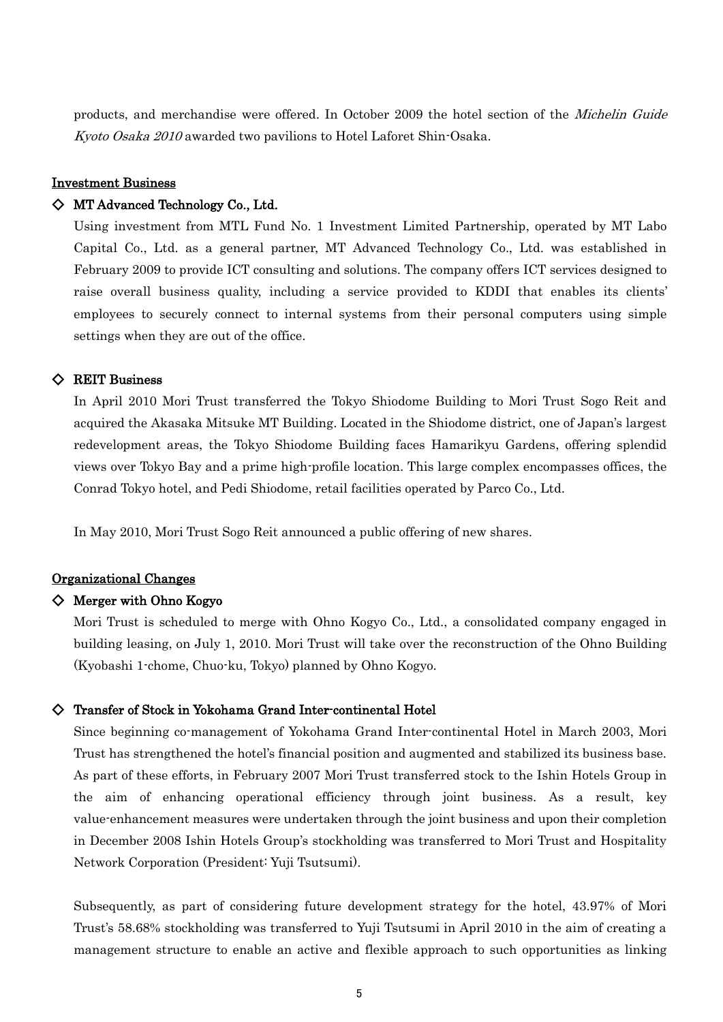products, and merchandise were offered. In October 2009 the hotel section of the Michelin Guide Kyoto Osaka 2010 awarded two pavilions to Hotel Laforet Shin-Osaka.

#### Investment Business

#### ◇ MT Advanced Technology Co., Ltd.

Using investment from MTL Fund No. 1 Investment Limited Partnership, operated by MT Labo Capital Co., Ltd. as a general partner, MT Advanced Technology Co., Ltd. was established in February 2009 to provide ICT consulting and solutions. The company offers ICT services designed to raise overall business quality, including a service provided to KDDI that enables its clients' employees to securely connect to internal systems from their personal computers using simple settings when they are out of the office.

#### ◇ REIT Business

In April 2010 Mori Trust transferred the Tokyo Shiodome Building to Mori Trust Sogo Reit and acquired the Akasaka Mitsuke MT Building. Located in the Shiodome district, one of Japan's largest redevelopment areas, the Tokyo Shiodome Building faces Hamarikyu Gardens, offering splendid views over Tokyo Bay and a prime high-profile location. This large complex encompasses offices, the Conrad Tokyo hotel, and Pedi Shiodome, retail facilities operated by Parco Co., Ltd.

In May 2010, Mori Trust Sogo Reit announced a public offering of new shares.

#### Organizational Changes

#### $\diamondsuit$  Merger with Ohno Kogyo

Mori Trust is scheduled to merge with Ohno Kogyo Co., Ltd., a consolidated company engaged in building leasing, on July 1, 2010. Mori Trust will take over the reconstruction of the Ohno Building (Kyobashi 1-chome, Chuo-ku, Tokyo) planned by Ohno Kogyo.

#### ◇ Transfer of Stock in Yokohama Grand Inter-continental Hotel

Since beginning co-management of Yokohama Grand Inter-continental Hotel in March 2003, Mori Trust has strengthened the hotel's financial position and augmented and stabilized its business base. As part of these efforts, in February 2007 Mori Trust transferred stock to the Ishin Hotels Group in the aim of enhancing operational efficiency through joint business. As a result, key value-enhancement measures were undertaken through the joint business and upon their completion in December 2008 Ishin Hotels Group's stockholding was transferred to Mori Trust and Hospitality Network Corporation (President: Yuji Tsutsumi).

Subsequently, as part of considering future development strategy for the hotel, 43.97% of Mori Trust's 58.68% stockholding was transferred to Yuji Tsutsumi in April 2010 in the aim of creating a management structure to enable an active and flexible approach to such opportunities as linking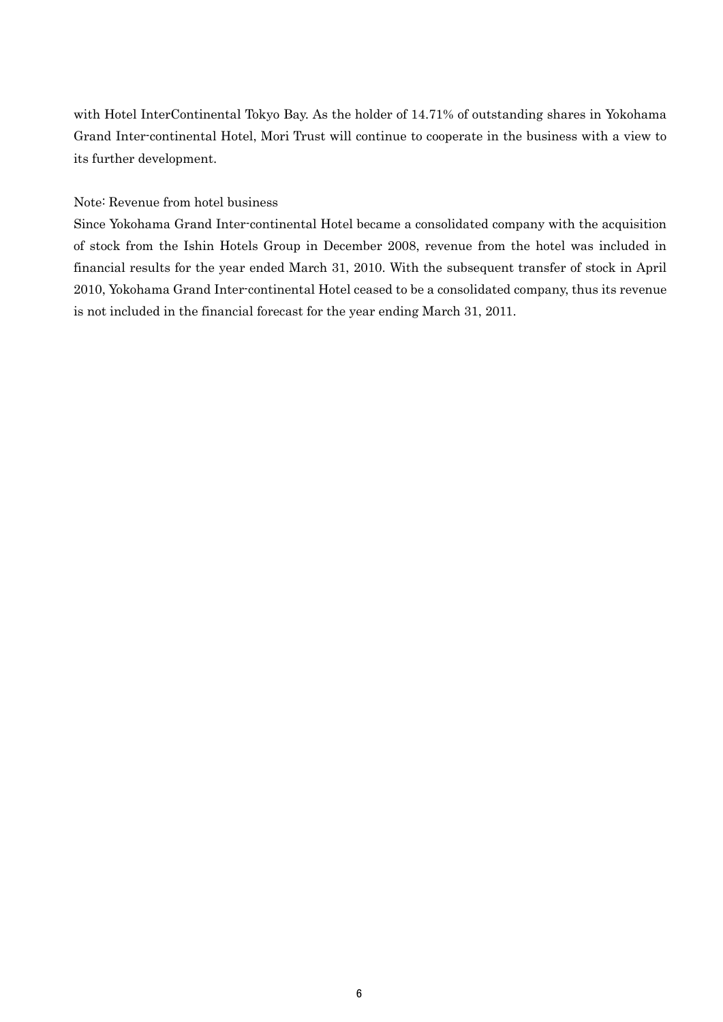with Hotel InterContinental Tokyo Bay. As the holder of 14.71% of outstanding shares in Yokohama Grand Inter-continental Hotel, Mori Trust will continue to cooperate in the business with a view to its further development.

Note: Revenue from hotel business

Since Yokohama Grand Inter-continental Hotel became a consolidated company with the acquisition of stock from the Ishin Hotels Group in December 2008, revenue from the hotel was included in financial results for the year ended March 31, 2010. With the subsequent transfer of stock in April 2010, Yokohama Grand Inter-continental Hotel ceased to be a consolidated company, thus its revenue is not included in the financial forecast for the year ending March 31, 2011.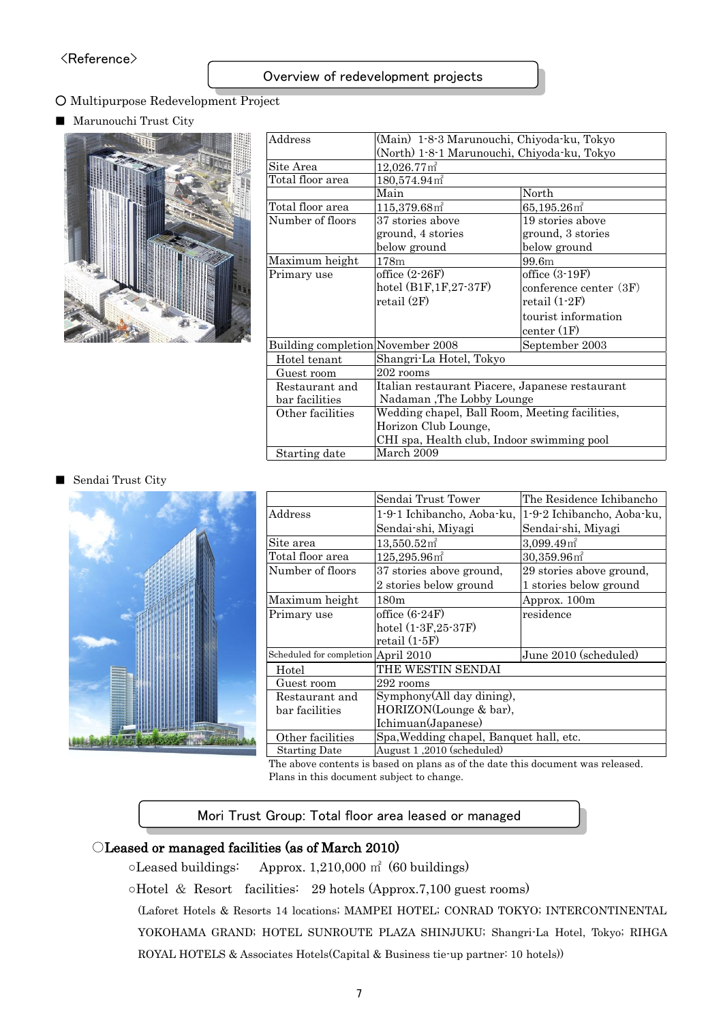#### Overview of redevelopment projects

#### ○ Multipurpose Redevelopment Project

#### ■ Marunouchi Trust City



| $\rm Address$                     | (Main) 1-8-3 Marunouchi, Chiyoda-ku, Tokyo      |                            |  |
|-----------------------------------|-------------------------------------------------|----------------------------|--|
|                                   | (North) 1-8-1 Marunouchi, Chiyoda-ku, Tokyo     |                            |  |
| Site Area                         | $12,026.77$ m <sup>2</sup>                      |                            |  |
| Total floor area                  | $180,574.94 \,\mathrm{m}^2$                     |                            |  |
|                                   | Main                                            | North                      |  |
| Total floor area                  | $115,379.68$ m <sup>2</sup>                     | $65,195.26$ m <sup>2</sup> |  |
| Number of floors                  | 37 stories above                                | 19 stories above           |  |
|                                   | ground, 4 stories                               | ground, 3 stories          |  |
|                                   | below ground                                    | below ground               |  |
| Maximum height                    | 178m                                            | 99.6m                      |  |
| Primary use                       | office $(2\negthinspace\cdot 26F)$              | office $(3-19F)$           |  |
|                                   | hotel (B1F,1F,27-37F)                           | conference center (3F)     |  |
|                                   | retail(2F)<br>$retail (1-2F)$                   |                            |  |
|                                   |                                                 | tourist information        |  |
|                                   |                                                 | center (1F)                |  |
| Building completion November 2008 |                                                 | September 2003             |  |
| Hotel tenant                      | Shangri-La Hotel, Tokyo                         |                            |  |
| Guest room                        | $202$ rooms                                     |                            |  |
| Restaurant and                    | Italian restaurant Piacere, Japanese restaurant |                            |  |
| bar facilities                    | Nadaman, The Lobby Lounge                       |                            |  |
| Other facilities                  | Wedding chapel, Ball Room, Meeting facilities,  |                            |  |
|                                   | Horizon Club Lounge,                            |                            |  |
|                                   | CHI spa, Health club, Indoor swimming pool      |                            |  |
| Starting date                     | March 2009                                      |                            |  |

#### Sendai Trust City



|                                     | Sendai Trust Tower                      | The Residence Ichibancho   |  |
|-------------------------------------|-----------------------------------------|----------------------------|--|
| Address                             | 1-9-1 Ichibancho, Aoba-ku,              | 1-9-2 Ichibancho, Aoba-ku, |  |
|                                     | Sendai-shi, Miyagi                      | Sendai-shi, Miyagi         |  |
| Site area                           | $13,550.52 \,\mathrm{m}^2$              | 3,099.49 <sup>2</sup>      |  |
| Total floor area                    | $125,295.96$ m <sup>2</sup>             | $30,359.96$ m <sup>2</sup> |  |
| Number of floors                    | 37 stories above ground,                | 29 stories above ground,   |  |
|                                     | 2 stories below ground                  | 1 stories below ground     |  |
| Maximum height                      | 180 <sub>m</sub>                        | Approx. 100m               |  |
| Primary use                         | office $(6\n-24F)$                      | residence                  |  |
|                                     | hotel (1-3F,25-37F)                     |                            |  |
|                                     | $retail (1-5F)$                         |                            |  |
| Scheduled for completion April 2010 |                                         | June 2010 (scheduled)      |  |
| Hotel                               | THE WESTIN SENDAI                       |                            |  |
| Guest room                          | 292 rooms                               |                            |  |
| Restaurant and                      | Symphony(All day dining),               |                            |  |
| bar facilities                      | HORIZON(Lounge & bar),                  |                            |  |
|                                     | Ichimuan(Japanese)                      |                            |  |
| Other facilities                    | Spa, Wedding chapel, Banquet hall, etc. |                            |  |
| <b>Starting Date</b>                | (scheduled) August 1,2010               |                            |  |

The above contents is based on plans as of the date this document was released. Plans in this document subject to change.

#### Mori Trust Group: Total floor area leased or managed

#### ○Leased or managed facilities (as of March 2010)

○Leased buildings: Approx. 1,210,000 ㎡ (60 buildings)

○Hotel & Resort facilities: 29 hotels (Approx.7,100 guest rooms)

(Laforet Hotels & Resorts 14 locations; MAMPEI HOTEL; CONRAD TOKYO; INTERCONTINENTAL YOKOHAMA GRAND; HOTEL SUNROUTE PLAZA SHINJUKU; Shangri-La Hotel, Tokyo; RIHGA ROYAL HOTELS & Associates Hotels(Capital & Business tie-up partner: 10 hotels))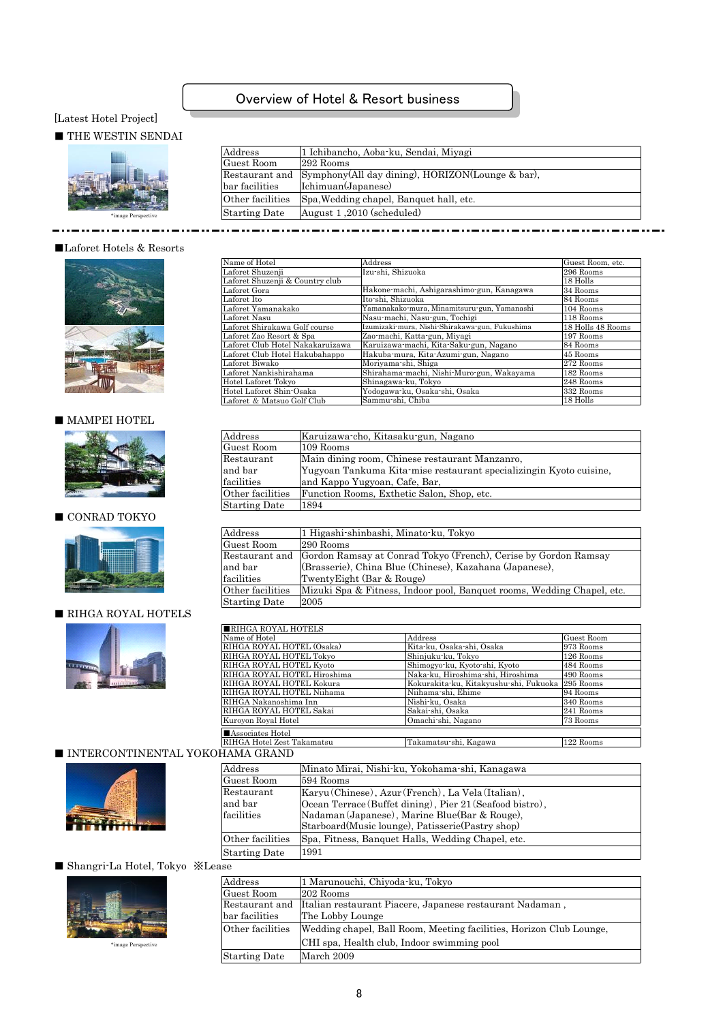#### [Latest Hotel Project]

#### $\blacksquare$  THE WESTIN SENDAI



| Address              | 1 Ichibancho, Aoba-ku, Sendai, Miyagi                           |
|----------------------|-----------------------------------------------------------------|
| Guest Room           | 292 Rooms                                                       |
|                      | Restaurant and Symphony(All day dining), HORIZON(Lounge & bar), |
| bar facilities       | Ichimuan(Japanese)                                              |
| Other facilities     | Spa, Wedding chapel, Banquet hall, etc.                         |
| <b>Starting Date</b> | August 1,2010 (scheduled)                                       |

Overview of Hotel & Resort business

 $- - -$ \_ \_ \_ \_ \_ \_ .  $- - - - -$ 

#### ■Laforet Hotels & Resorts

L.

. . . . . . . . . .



#### ■ MAMPEI HOTEL



#### $\blacksquare$  CONRAD TOKYO



#### ■ RIHGA ROYAL HOTELS



| Name of Hotel                    | Address                                        | Guest Room, etc.  |
|----------------------------------|------------------------------------------------|-------------------|
| Laforet Shuzenji                 | Izu-shi, Shizuoka                              | 296 Rooms         |
| Laforet Shuzenji & Country club  |                                                | 18 Holls          |
| Laforet Gora                     | Hakone-machi, Ashigarashimo-gun, Kanagawa      | 34 Rooms          |
| Laforet Ito                      | Ito-shi, Shizuoka                              | 84 Rooms          |
| Laforet Yamanakako               | Yamanakako-mura, Minamitsuru-gun, Yamanashi    | 104 Rooms         |
| Laforet Nasu                     | Nasu-machi, Nasu-gun, Tochigi                  | 118 Rooms         |
| Laforet Shirakawa Golf course    | Izumizaki-mura, Nishi-Shirakawa-gun, Fukushima | 18 Holls 48 Rooms |
| Laforet Zao Resort & Spa         | Zao-machi, Katta-gun, Miyagi                   | 197 Rooms         |
| Laforet Club Hotel Nakakaruizawa | Karuizawa-machi, Kita-Saku-gun, Nagano         | 184 Rooms         |
| Laforet Club Hotel Hakubahappo   | Hakuba-mura, Kita-Azumi-gun, Nagano            | 45 Rooms          |
| Laforet Biwako                   | Moriyama-shi, Shiga                            | 272 Rooms         |
| Laforet Nankishirahama           | Shirahama-machi, Nishi-Muro-gun, Wakayama      | 182 Rooms         |
| Hotel Laforet Tokyo              | Shinagawa-ku, Tokyo                            | 248 Rooms         |
| Hotel Laforet Shin-Osaka         | Yodogawa-ku, Osaka-shi, Osaka                  | 332 Rooms         |
| Laforet & Matsuo Golf Club       | Sammu-shi, Chiba                               | 18 Holls          |
|                                  |                                                |                   |

| Address              | Karuizawa cho, Kitasaku gun, Nagano                                |
|----------------------|--------------------------------------------------------------------|
| Guest Room           | 109 Rooms                                                          |
| Restaurant           | Main dining room, Chinese restaurant Manzanro,                     |
| and bar              | Yugyoan Tankuma Kita-mise restaurant specializingin Kyoto cuisine, |
| facilities           | and Kappo Yugyoan, Cafe, Bar,                                      |
| Other facilities     | Function Rooms, Exthetic Salon, Shop, etc.                         |
| <b>Starting Date</b> | 1894                                                               |
|                      |                                                                    |

| $\operatorname{Address}$ | 1 Higashi shinbashi, Minato ku, Tokyo                                           |
|--------------------------|---------------------------------------------------------------------------------|
| Guest Room               | 290 Rooms                                                                       |
|                          | Restaurant and  Gordon Ramsay at Conrad Tokyo (French), Cerise by Gordon Ramsay |
| and bar                  | (Brasserie), China Blue (Chinese), Kazahana (Japanese),                         |
| facilities               | TwentyEight (Bar & Rouge)                                                       |
| Other facilities         | Mizuki Spa & Fitness, Indoor pool, Banquet rooms, Wedding Chapel, etc.          |
| Starting Date            | 2005                                                                            |
|                          |                                                                                 |

| RIHGA ROYAL HOTELS          |                                                  |            |
|-----------------------------|--------------------------------------------------|------------|
| Name of Hotel               | Address                                          | Guest Room |
| RIHGA ROYAL HOTEL (Osaka)   | Kita-ku, Osaka-shi, Osaka                        | 1973 Rooms |
| RIHGA ROYAL HOTEL Tokyo     | Shinjuku-ku, Tokyo                               | 126 Rooms  |
| RIHGA ROYAL HOTEL Kyoto     | Shimogyo-ku, Kyoto-shi, Kyoto                    | 484 Rooms  |
| RIHGA ROYAL HOTEL Hiroshima | Naka-ku, Hiroshima-shi, Hiroshima                | 490 Rooms  |
| RIHGA ROYAL HOTEL Kokura    | Kokurakita-ku, Kitakyushu-shi, Fukuoka 295 Rooms |            |
| RIHGA ROYAL HOTEL Niihama   | Niihama-shi, Ehime                               | 94 Rooms   |
| RIHGA Nakanoshima Inn       | Nishi-ku. Osaka                                  | 340 Rooms  |
| RIHGA ROYAL HOTEL Sakai     | Sakai shi, Osaka                                 | 241 Rooms  |
| Kuroyon Royal Hotel         | Omachi-shi, Nagano                               | 73 Rooms   |
| Associates Hotel            |                                                  |            |
| RIHGA Hotel Zest Takamatsu  | Takamatsu-shi, Kagawa                            | 122 Rooms  |
|                             |                                                  |            |

#### ■ INTERCONTINENTAL YOKOHAMA GRAND

| Address              | Minato Mirai, Nishi-ku, Yokohama-shi, Kanagawa           |
|----------------------|----------------------------------------------------------|
| Guest Room           | 594 Rooms                                                |
| Restaurant           | Karyu (Chinese), Azur (French), La Vela (Italian),       |
| and bar              | Ocean Terrace (Buffet dining), Pier 21 (Seafood bistro), |
| facilities           | Nadaman (Japanese), Marine Blue(Bar & Rouge),            |
|                      | Starboard (Music lounge), Patisserie (Pastry shop)       |
| Other facilities     | Spa, Fitness, Banquet Halls, Wedding Chapel, etc.        |
| <b>Starting Date</b> | 1991                                                     |
|                      |                                                          |

#### ■ Shangri-La Hotel, Tokyo ※Leas



\*image Perspectiv

| se                   |                                                                     |
|----------------------|---------------------------------------------------------------------|
| $\rm Address$        | 1 Marunouchi, Chiyoda-ku, Tokyo                                     |
| Guest Room           | 202 Rooms                                                           |
| Restaurant and       | Italian restaurant Piacere, Japanese restaurant Nadaman,            |
| bar facilities       | The Lobby Lounge                                                    |
| Other facilities     | Wedding chapel, Ball Room, Meeting facilities, Horizon Club Lounge, |
|                      | CHI spa, Health club, Indoor swimming pool                          |
| <b>Starting Date</b> | March 2009                                                          |
|                      |                                                                     |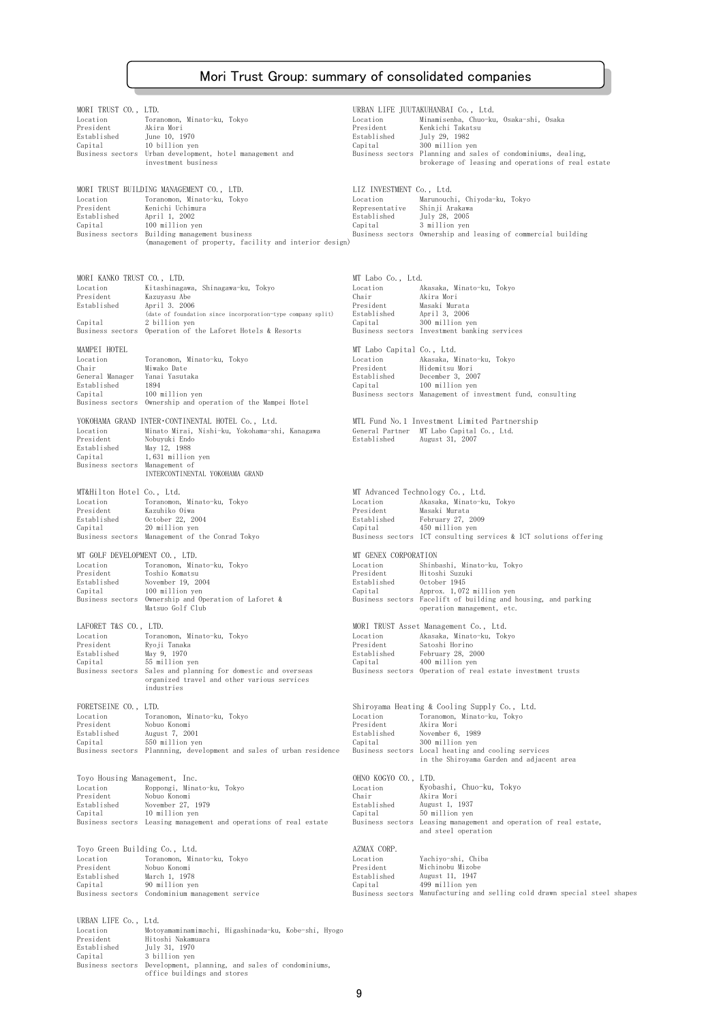#### Mori Trust Group: summary of consolidated companies

| MORI TRUST CO., LTD.                      |                                                                                                         |                                      | URBAN LIFE JUUTAKUHANBAI Co., Ltd.                                                                                  |
|-------------------------------------------|---------------------------------------------------------------------------------------------------------|--------------------------------------|---------------------------------------------------------------------------------------------------------------------|
| Location<br>President                     | Toranomon, Minato-ku, Tokyo<br>Akira Mori                                                               | Location<br>President                | Minamisenba, Chuo-ku, Osaka-shi, Osaka<br>Kenkichi Takatsu                                                          |
| Established<br>Capital                    | June 10, 1970<br>10 billion yen                                                                         | Established<br>Capital               | July 29, 1982<br>300 million yen                                                                                    |
|                                           | Business sectors Urban development, hotel management and<br>investment business                         |                                      | Business sectors Planning and sales of condominiums, dealing,<br>brokerage of leasing and operations of real estate |
|                                           |                                                                                                         |                                      |                                                                                                                     |
| Location                                  | MORI TRUST BUILDING MANAGEMENT CO., LTD.<br>Toranomon, Minato-ku, Tokyo                                 | LIZ INVESTMENT Co., Ltd.<br>Location | Marunouchi, Chiyoda-ku, Tokyo                                                                                       |
| President                                 | Kenichi Uchimura                                                                                        | Representative                       | Shinji Arakawa                                                                                                      |
| Established<br>Capital                    | April 1, 2002<br>100 million yen                                                                        | Established<br>Capital               | July 28, 2005<br>3 million yen                                                                                      |
|                                           | Business sectors Building management business<br>(management of property, facility and interior design) |                                      | Business sectors Ownership and leasing of commercial building                                                       |
|                                           |                                                                                                         |                                      |                                                                                                                     |
| MORI KANKO TRUST CO., LTD.                |                                                                                                         | MT Labo Co., Ltd.                    |                                                                                                                     |
| Location                                  | Kitashinagawa, Shinagawa-ku, Tokyo                                                                      | Location                             | Akasaka, Minato-ku, Tokyo                                                                                           |
| President<br>Established                  | Kazuyasu Abe<br>April 3. 2006                                                                           | Chair<br>President                   | Akira Mori<br>Masaki Murata                                                                                         |
| Capital                                   | (date of foundation since incorporation-type company split)<br>2 billion yen                            | Established<br>Capital               | April 3, 2006<br>300 million yen                                                                                    |
|                                           | Business sectors Operation of the Laforet Hotels & Resorts                                              |                                      | Business sectors Investment banking services                                                                        |
| MAMPEI HOTEL                              |                                                                                                         | MT Labo Capital Co., Ltd.            |                                                                                                                     |
| Location<br>Chair                         | Toranomon, Minato-ku, Tokyo<br>Miwako Date                                                              | Location<br>President                | Akasaka, Minato-ku, Tokyo<br>Hidemitsu Mori                                                                         |
| General Manager                           | Yanai Yasutaka                                                                                          | Established                          | December 3, 2007                                                                                                    |
| Established<br>Capital                    | 1894<br>100 million yen                                                                                 | Capital                              | 100 million yen<br>Business sectors Management of investment fund, consulting                                       |
|                                           | Business sectors Ownership and operation of the Mampei Hotel                                            |                                      |                                                                                                                     |
|                                           | YOKOHAMA GRAND INTER•CONTINENTAL HOTEL Co., Ltd.                                                        |                                      | MTL Fund No.1 Investment Limited Partnership                                                                        |
| Location<br>President                     | Minato Mirai, Nishi-ku, Yokohama-shi, Kanagawa<br>Nobuvuki Endo                                         | General Partner<br>Established       | MT Labo Capital Co., Ltd.<br>August 31, 2007                                                                        |
| Established<br>Capital                    | May 12, 1988<br>1,631 million yen                                                                       |                                      |                                                                                                                     |
| Business sectors                          | Management of<br>INTERCONTINENTAL YOKOHAMA GRAND                                                        |                                      |                                                                                                                     |
|                                           |                                                                                                         |                                      |                                                                                                                     |
| MT&Hilton Hotel Co., Ltd.<br>Location     | Toranomon, Minato-ku, Tokyo                                                                             | Location                             | MT Advanced Technology Co., Ltd.<br>Akasaka, Minato-ku, Tokyo                                                       |
| President<br>Established                  | Kazuhiko Oiwa<br>October 22, 2004                                                                       | President<br>Established             | Masaki Murata<br>February 27, 2009                                                                                  |
| Capital                                   | 20 million yen                                                                                          | Capital                              | 450 million yen                                                                                                     |
|                                           | Business sectors Management of the Conrad Tokyo                                                         |                                      | Business sectors ICT consulting services & ICT solutions offering                                                   |
| MT GOLF DEVELOPMENT CO., LTD.<br>Location | Toranomon, Minato-ku, Tokyo                                                                             | MT GENEX CORPORATION<br>Location     | Shinbashi, Minato-ku, Tokyo                                                                                         |
| President<br>Established                  | Toshio Komatsu<br>November 19, 2004                                                                     | President<br>Established             | Hitoshi Suzuki<br>October 1945                                                                                      |
| Capital                                   | 100 million yen                                                                                         | Capital                              | Approx. 1,072 million yen                                                                                           |
| Business sectors                          | Ownership and Operation of Laforet &<br>Matsuo Golf Club                                                |                                      | Business sectors Facelift of building and housing, and parking<br>operation management, etc.                        |
| LAFORET T&S CO., LTD.                     |                                                                                                         |                                      | MORI TRUST Asset Management Co., Ltd.                                                                               |
| Location                                  | Toranomon, Minato-ku, Tokyo                                                                             | Location                             | Akasaka, Minato-ku, Tokyo                                                                                           |
| President<br>Established                  | Ryoji Tanaka<br>May 9, 1970                                                                             | President<br>Established             | Satoshi Horino<br>February 28, 2000                                                                                 |
| Capital<br>Business sectors               | 55 million yen<br>Sales and planning for domestic and overseas                                          | Capital                              | 400 million yen<br>Business sectors Operation of real estate investment trusts                                      |
|                                           | organized travel and other various services<br>industries                                               |                                      |                                                                                                                     |
|                                           |                                                                                                         |                                      |                                                                                                                     |
| FORETSEINE CO., LTD.<br>Location          | Toranomon, Minato-ku, Tokyo                                                                             | Location                             | Shiroyama Heating & Cooling Supply Co., Ltd.<br>Toranomon, Minato-ku, Tokyo                                         |
| President<br>Established                  | Nobuo Konomi<br>August 7, 2001                                                                          | President<br>Established             | Akira Mori<br>November 6, 1989                                                                                      |
| Capital                                   | 550 million yen<br>Business sectors Plannning, development and sales of urban residence                 | Capital                              | 300 million yen<br>Business sectors Local heating and cooling services                                              |
|                                           |                                                                                                         |                                      | in the Shiroyama Garden and adjacent area                                                                           |
| Toyo Housing Management, Inc.             |                                                                                                         | OHNO KOGYO CO., LTD.                 |                                                                                                                     |
| Location<br>President                     | Roppongi, Minato-ku, Tokyo<br>Nobuo Konomi                                                              | Location<br>Chair                    | Kyobashi, Chuo-ku, Tokyo<br>Akira Mori                                                                              |
| Established                               | November 27, 1979                                                                                       | Established                          | August 1, 1937                                                                                                      |
| Capital                                   | 10 million yen<br>Business sectors Leasing management and operations of real estate                     | Capital<br>Business sectors          | 50 million yen<br>Leasing management and operation of real estate,                                                  |
|                                           |                                                                                                         |                                      | and steel operation                                                                                                 |
| Toyo Green Building Co., Ltd.<br>Location | Toranomon, Minato-ku, Tokyo                                                                             | AZMAX CORP.<br>Location              | Yachiyo-shi, Chiba                                                                                                  |
| President                                 | Nobuo Konomi                                                                                            | President                            | Michinobu Mizobe                                                                                                    |
| Established<br>Capital                    | March 1, 1978<br>90 million yen                                                                         | Established<br>Capital               | August 11, 1947<br>499 million yen                                                                                  |
| Business sectors                          | Condominium management service                                                                          |                                      | Business sectors Manufacturing and selling cold drawn special steel shapes                                          |
| URBAN LIFE Co., Ltd.                      |                                                                                                         |                                      |                                                                                                                     |
| Location                                  | Motoyamaminamimachi, Higashinada-ku, Kobe-shi, Hyogo                                                    |                                      |                                                                                                                     |
| President<br>Established                  | Hitoshi Nakamuara<br>July 31, 1970                                                                      |                                      |                                                                                                                     |
| Capital<br>Business sectors               | 3 billion yen<br>Development, planning, and sales of condominiums,                                      |                                      |                                                                                                                     |
|                                           | office buildings and stores                                                                             |                                      |                                                                                                                     |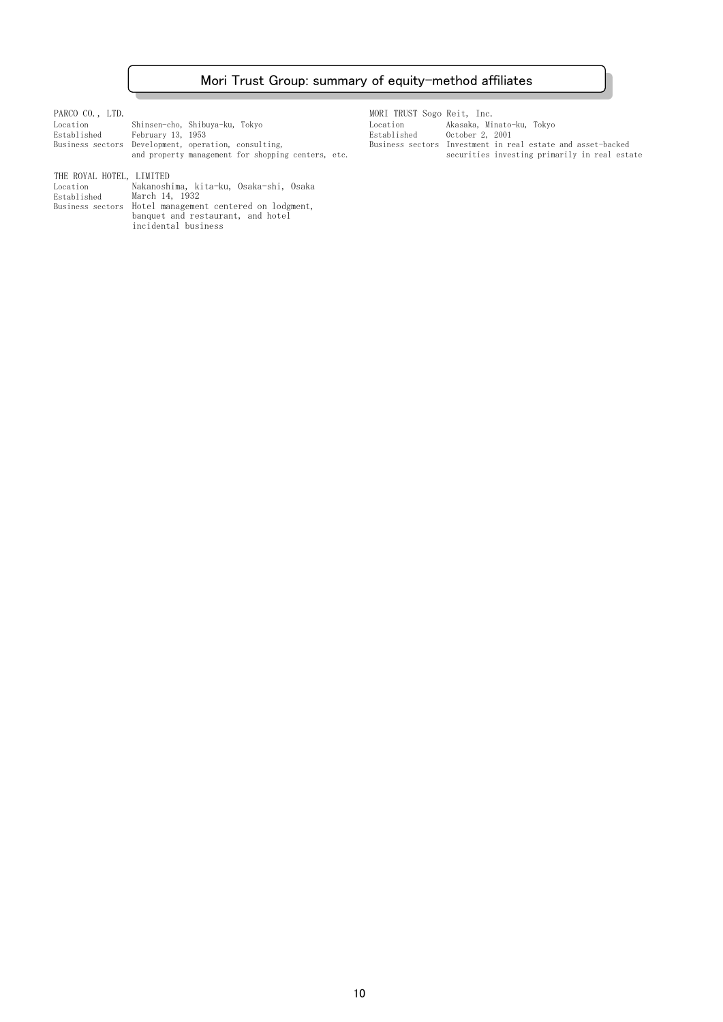#### Mori Trust Group: summary of equity-method affiliates

| Location    | Shinsen-cho, Shibuva-ku, Tokvo                       | Location    | Akasaka, Minato-ku, Tokvo                                   |
|-------------|------------------------------------------------------|-------------|-------------------------------------------------------------|
| Established | February 13, 1953                                    | Established | October 2, 2001                                             |
|             | Business sectors Development, operation, consulting, |             | Business sectors Investment in real estate and asset-backed |
|             | and property management for shopping centers, etc.   |             | securities investing primarily in real estate               |

PARCO CO., LTD. MORI TRUST Sogo Reit, Inc.

THE ROYAL HOTEL, LIMITED Location Nakanoshima, kita-ku, Osaka-shi, Osaka Established March 14, 1932 Business sectors Hotel management centered on lodgment, banquet and restaurant, and hotel incidental business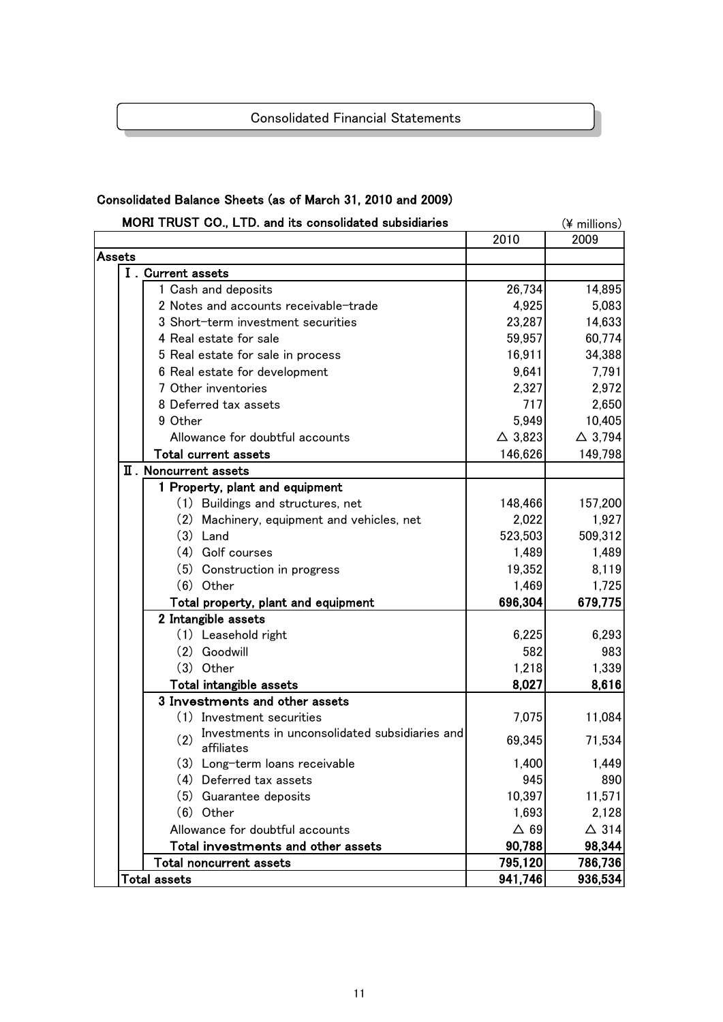#### Consolidated Financial Statements

#### Consolidated Balance Sheets (as of March 31, 2010 and 2009)

| MORI TRUST CO., LTD. and its consolidated subsidiaries              |                   | $(*)$ millions)   |
|---------------------------------------------------------------------|-------------------|-------------------|
|                                                                     | 2010              | 2009              |
| Assets                                                              |                   |                   |
| I. Current assets                                                   |                   |                   |
| 1 Cash and deposits                                                 | 26,734            | 14,895            |
| 2 Notes and accounts receivable-trade                               | 4,925             | 5,083             |
| 3 Short-term investment securities                                  | 23,287            | 14,633            |
| 4 Real estate for sale                                              | 59,957            | 60,774            |
| 5 Real estate for sale in process                                   | 16,911            | 34,388            |
| 6 Real estate for development                                       | 9,641             | 7,791             |
| 7 Other inventories                                                 | 2,327             | 2,972             |
| 8 Deferred tax assets                                               | 717               | 2,650             |
| 9 Other                                                             | 5,949             | 10,405            |
| Allowance for doubtful accounts                                     | $\triangle$ 3,823 | $\triangle$ 3,794 |
| <b>Total current assets</b>                                         | 146,626           | 149,798           |
| <b>II</b> . Noncurrent assets                                       |                   |                   |
| 1 Property, plant and equipment                                     |                   |                   |
| (1) Buildings and structures, net                                   | 148,466           | 157,200           |
| (2) Machinery, equipment and vehicles, net                          | 2,022             | 1,927             |
| $(3)$ Land                                                          | 523,503           | 509,312           |
| (4) Golf courses                                                    | 1,489             | 1,489             |
| (5) Construction in progress                                        | 19,352            | 8,119             |
| $(6)$ Other                                                         | 1,469             | 1,725             |
| Total property, plant and equipment                                 | 696,304           | 679,775           |
| 2 Intangible assets                                                 |                   |                   |
| (1) Leasehold right                                                 | 6,225             | 6,293             |
| (2) Goodwill                                                        | 582               | 983               |
| $(3)$ Other                                                         | 1,218             | 1,339             |
| Total intangible assets                                             | 8,027             | 8,616             |
| 3 Investments and other assets                                      |                   |                   |
| (1) Investment securities                                           | 7,075             | 11,084            |
| Investments in unconsolidated subsidiaries and<br>(2)<br>affiliates | 69,345            | 71,534            |
| (3) Long-term loans receivable                                      | 1,400             | 1,449             |
| (4) Deferred tax assets                                             | 945               | 890               |
| (5) Guarantee deposits                                              | 10,397            | 11,571            |
| $(6)$ Other                                                         | 1,693             | 2,128             |
| Allowance for doubtful accounts                                     | $\triangle$ 69    | $\triangle$ 314   |
| Total investments and other assets                                  | 90,788            | 98,344            |
| <b>Total noncurrent assets</b>                                      | 795,120           | 786,736           |
| Total assets                                                        | 941,746           | 936,534           |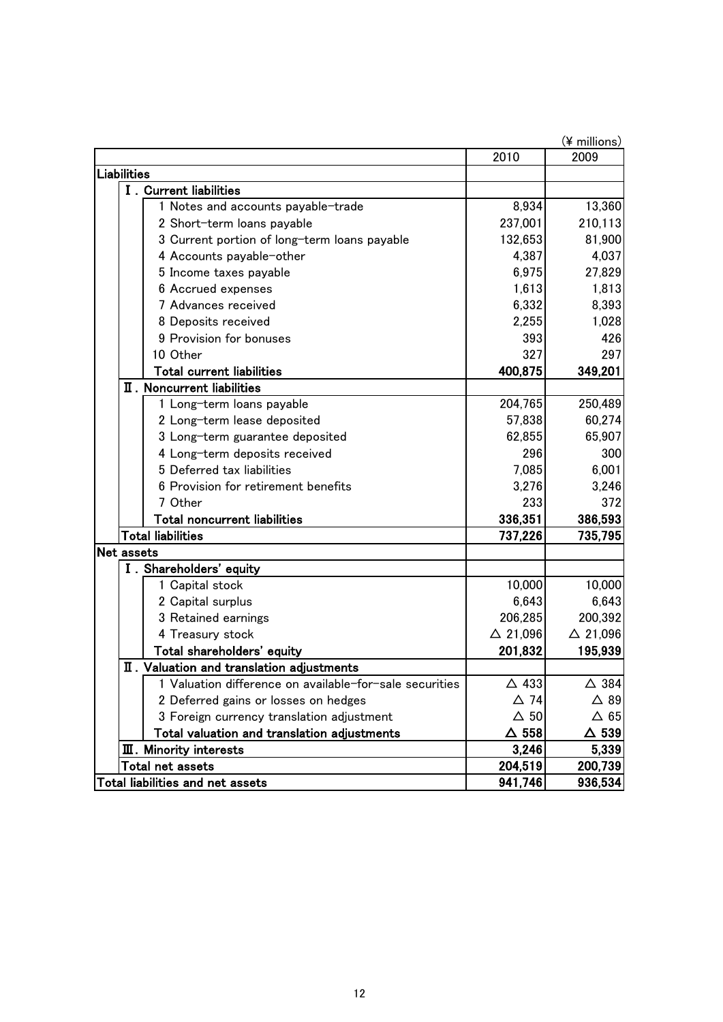|                                                         |                    | (¥ millions)       |  |  |  |
|---------------------------------------------------------|--------------------|--------------------|--|--|--|
|                                                         | 2010               | 2009               |  |  |  |
| <b>Liabilities</b>                                      |                    |                    |  |  |  |
| I. Current liabilities                                  |                    |                    |  |  |  |
| 1 Notes and accounts payable-trade                      | 8,934              | 13,360             |  |  |  |
| 2 Short-term loans payable                              | 237,001            | 210,113            |  |  |  |
| 3 Current portion of long-term loans payable            | 132,653            | 81,900             |  |  |  |
| 4 Accounts payable-other                                | 4,387              | 4,037              |  |  |  |
| 5 Income taxes payable                                  | 6,975              | 27,829             |  |  |  |
| 6 Accrued expenses                                      | 1,613              | 1,813              |  |  |  |
| 7 Advances received                                     | 6,332              | 8,393              |  |  |  |
| 8 Deposits received                                     | 2,255              | 1,028              |  |  |  |
| 9 Provision for bonuses                                 | 393                | 426                |  |  |  |
| 10 Other                                                | 327                | 297                |  |  |  |
| <b>Total current liabilities</b>                        | 400,875            | 349,201            |  |  |  |
| II. Noncurrent liabilities                              |                    |                    |  |  |  |
| 1 Long-term loans payable                               | 204,765            | 250,489            |  |  |  |
| 2 Long-term lease deposited                             | 57,838             | 60,274             |  |  |  |
| 3 Long-term guarantee deposited                         | 62,855             | 65,907             |  |  |  |
| 4 Long-term deposits received                           | 296                | 300                |  |  |  |
| 5 Deferred tax liabilities                              | 7,085              | 6,001              |  |  |  |
| 6 Provision for retirement benefits                     | 3,276              | 3,246              |  |  |  |
| 7 Other                                                 | 233                | 372                |  |  |  |
| Total noncurrent liabilities                            | 336,351            | 386,593            |  |  |  |
| <b>Total liabilities</b>                                | 737,226            | 735,795            |  |  |  |
| Net assets                                              |                    |                    |  |  |  |
| I. Shareholders' equity                                 |                    |                    |  |  |  |
| 1 Capital stock                                         | 10,000             | 10,000             |  |  |  |
| 2 Capital surplus                                       | 6,643              | 6,643              |  |  |  |
| 3 Retained earnings                                     | 206,285            | 200,392            |  |  |  |
| 4 Treasury stock                                        | $\triangle$ 21,096 | $\triangle$ 21,096 |  |  |  |
| Total shareholders' equity                              | 201,832            | 195,939            |  |  |  |
| II. Valuation and translation adjustments               |                    |                    |  |  |  |
| 1 Valuation difference on available-for-sale securities | $\triangle$ 433    | $\triangle$ 384    |  |  |  |
| 2 Deferred gains or losses on hedges                    | $\triangle$ 74     | $\triangle$ 89     |  |  |  |
| 3 Foreign currency translation adjustment               | $\Delta$ 50        | $\Delta$ 65        |  |  |  |
| Total valuation and translation adjustments             | $\Delta$ 558       | $\Delta$ 539       |  |  |  |
| <b>III.</b> Minority interests                          | 3,246              | 5,339              |  |  |  |
| Total net assets                                        | 204,519            | 200,739            |  |  |  |
| Total liabilities and net assets                        | 941,746            | 936,534            |  |  |  |